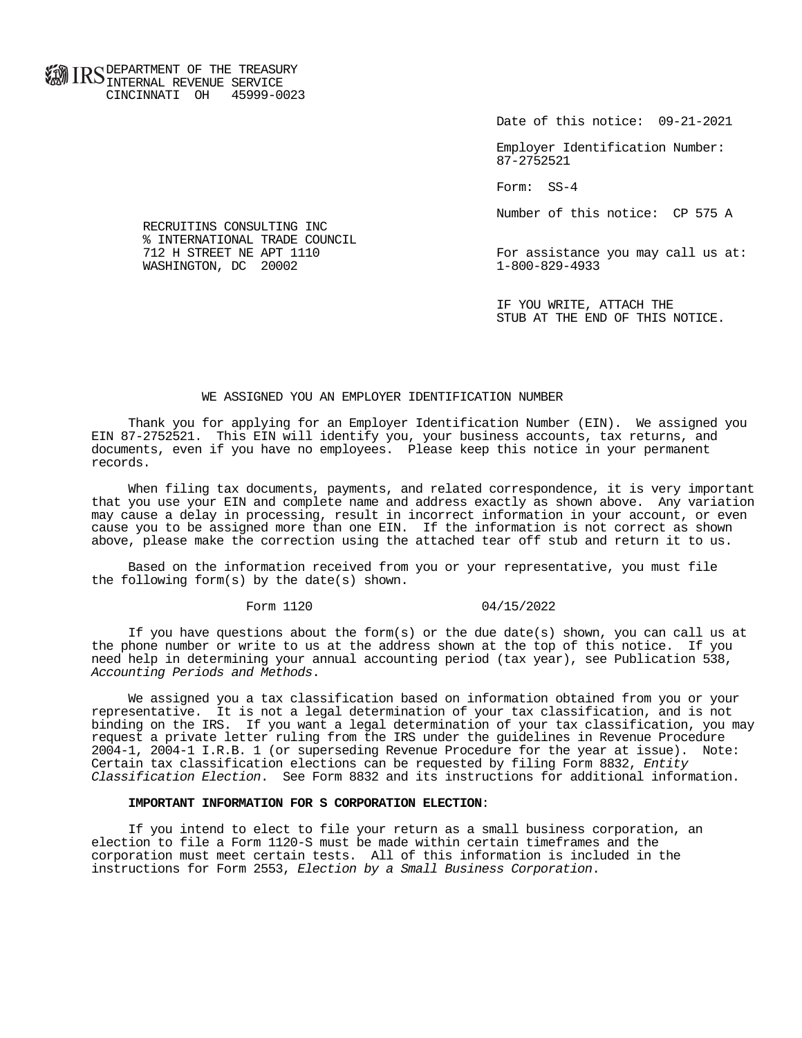**FOR ID C** DEPARTMENT OF THE TREASURY **WWW IIND** INTERNAL REVENUE SERVICE CINCINNATI OH 45999-0023

Date of this notice: 09-21-2021

 Employer Identification Number: 87-2752521

Form: SS-4

Number of this notice: CP 575 A

For assistance you may call us at:<br>1-800-829-4933

 IF YOU WRITE, ATTACH THE STUB AT THE END OF THIS NOTICE.

## WE ASSIGNED YOU AN EMPLOYER IDENTIFICATION NUMBER

 Thank you for applying for an Employer Identification Number (EIN). We assigned you EIN 87-2752521. This EIN will identify you, your business accounts, tax returns, and documents, even if you have no employees. Please keep this notice in your permanent records.

 When filing tax documents, payments, and related correspondence, it is very important that you use your EIN and complete name and address exactly as shown above. Any variation may cause a delay in processing, result in incorrect information in your account, or even cause you to be assigned more than one EIN. If the information is not correct as shown above, please make the correction using the attached tear off stub and return it to us.

 Based on the information received from you or your representative, you must file the following form(s) by the date(s) shown.

## Form 1120 04/15/2022

If you have questions about the form(s) or the due date(s) shown, you can call us at the phone number or write to us at the address shown at the top of this notice. If you need help in determining your annual accounting period (tax year), see Publication 538, Accounting Periods and Methods.

 We assigned you a tax classification based on information obtained from you or your representative. It is not a legal determination of your tax classification, and is not binding on the IRS. If you want a legal determination of your tax classification, you may request a private letter ruling from the IRS under the guidelines in Revenue Procedure 2004-1, 2004-1 I.R.B. 1 (or superseding Revenue Procedure for the year at issue). Note: Certain tax classification elections can be requested by filing Form 8832, Entity Classification Election. See Form 8832 and its instructions for additional information.

## **IMPORTANT INFORMATION FOR S CORPORATION ELECTION**:

 If you intend to elect to file your return as a small business corporation, an election to file a Form 1120-S must be made within certain timeframes and the corporation must meet certain tests. All of this information is included in the instructions for Form 2553, Election by a Small Business Corporation.

 RECRUITINS CONSULTING INC % INTERNATIONAL TRADE COUNCIL<br>712 H STREET NE APT 1110 WASHINGTON, DC 20002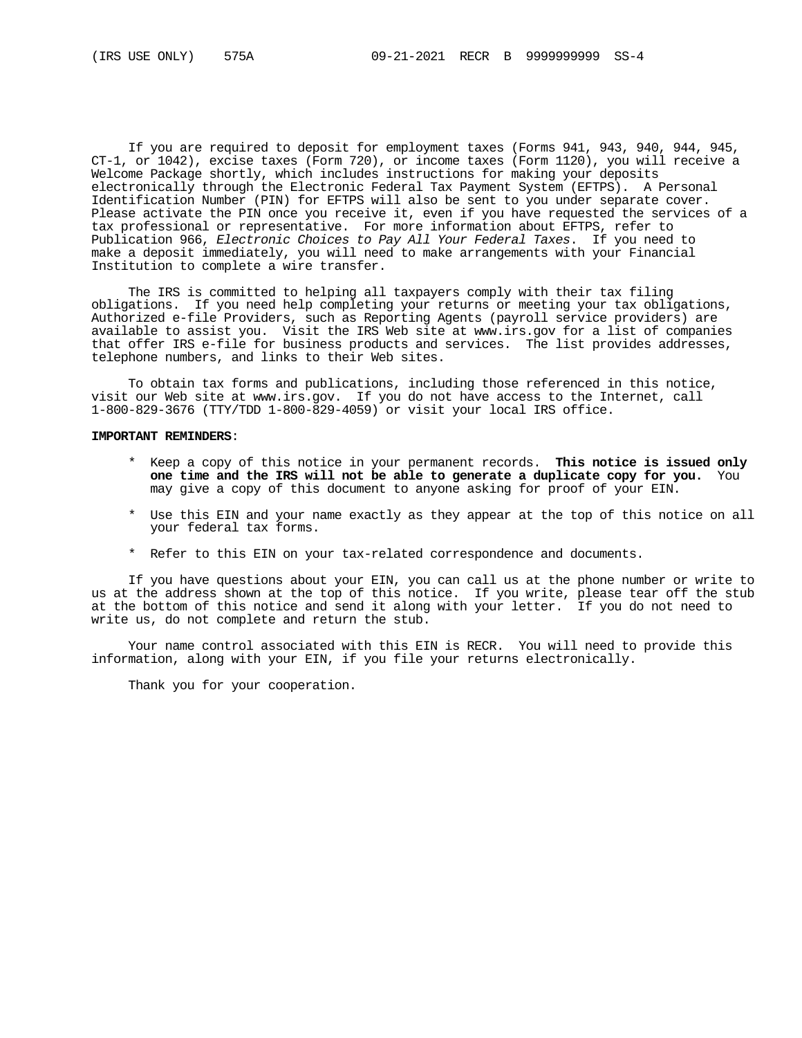If you are required to deposit for employment taxes (Forms 941, 943, 940, 944, 945, CT-1, or 1042), excise taxes (Form 720), or income taxes (Form 1120), you will receive a Welcome Package shortly, which includes instructions for making your deposits electronically through the Electronic Federal Tax Payment System (EFTPS). A Personal Identification Number (PIN) for EFTPS will also be sent to you under separate cover. Please activate the PIN once you receive it, even if you have requested the services of a tax professional or representative. For more information about EFTPS, refer to Publication 966, Electronic Choices to Pay All Your Federal Taxes. If you need to make a deposit immediately, you will need to make arrangements with your Financial Institution to complete a wire transfer.

 The IRS is committed to helping all taxpayers comply with their tax filing obligations. If you need help completing your returns or meeting your tax obligations, Authorized e-file Providers, such as Reporting Agents (payroll service providers) are available to assist you. Visit the IRS Web site at www.irs.gov for a list of companies that offer IRS e-file for business products and services. The list provides addresses, telephone numbers, and links to their Web sites.

 To obtain tax forms and publications, including those referenced in this notice, visit our Web site at www.irs.gov. If you do not have access to the Internet, call 1-800-829-3676 (TTY/TDD 1-800-829-4059) or visit your local IRS office.

## **IMPORTANT REMINDERS**:

- \* Keep a copy of this notice in your permanent records. **This notice is issued only one time and the IRS will not be able to generate a duplicate copy for you.** You may give a copy of this document to anyone asking for proof of your EIN.
- \* Use this EIN and your name exactly as they appear at the top of this notice on all your federal tax forms.
- \* Refer to this EIN on your tax-related correspondence and documents.

 If you have questions about your EIN, you can call us at the phone number or write to us at the address shown at the top of this notice. If you write, please tear off the stub at the bottom of this notice and send it along with your letter. If you do not need to write us, do not complete and return the stub.

 Your name control associated with this EIN is RECR. You will need to provide this information, along with your EIN, if you file your returns electronically.

Thank you for your cooperation.